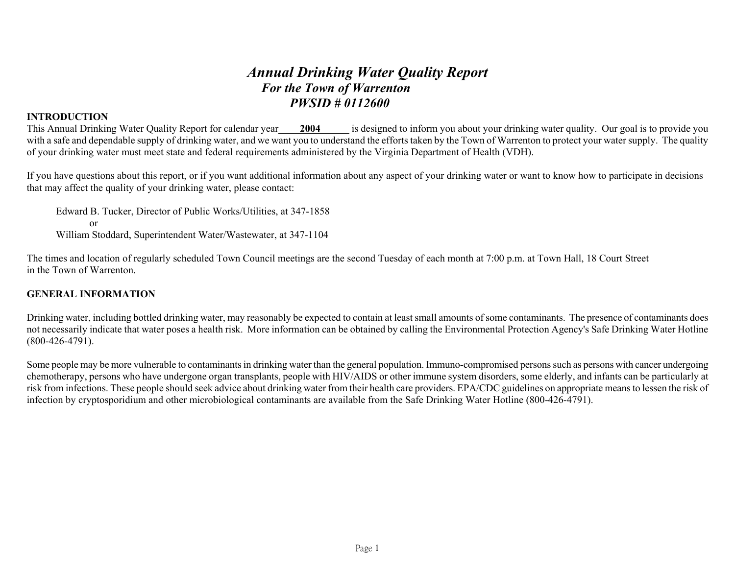# *Annual Drinking Water Quality Report For the Town of Warrenton PWSID # 0112600*

# **INTRODUCTION**

This Annual Drinking Water Quality Report for calendar year **2004** is designed to inform you about your drinking water quality. Our goal is to provide you with a safe and dependable supply of drinking water, and we want you to understand the efforts taken by the Town of Warrenton to protect your water supply. The quality of your drinking water must meet state and federal requirements administered by the Virginia Department of Health (VDH).

If you have questions about this report, or if you want additional information about any aspect of your drinking water or want to know how to participate in decisions that may affect the quality of your drinking water, please contact:

Edward B. Tucker, Director of Public Works/Utilities, at 347-1858 or William Stoddard, Superintendent Water/Wastewater, at 347-1104

The times and location of regularly scheduled Town Council meetings are the second Tuesday of each month at 7:00 p.m. at Town Hall, 18 Court Street in the Town of Warrenton.

## **GENERAL INFORMATION**

Drinking water, including bottled drinking water, may reasonably be expected to contain at least small amounts of some contaminants. The presence of contaminants does not necessarily indicate that water poses a health risk. More information can be obtained by calling the Environmental Protection Agency's Safe Drinking Water Hotline (800-426-4791).

Some people may be more vulnerable to contaminants in drinking water than the general population. Immuno-compromised persons such as persons with cancer undergoing chemotherapy, persons who have undergone organ transplants, people with HIV/AIDS or other immune system disorders, some elderly, and infants can be particularly at risk from infections. These people should seek advice about drinking water from their health care providers. EPA/CDC guidelines on appropriate means to lessen the risk of infection by cryptosporidium and other microbiological contaminants are available from the Safe Drinking Water Hotline (800-426-4791).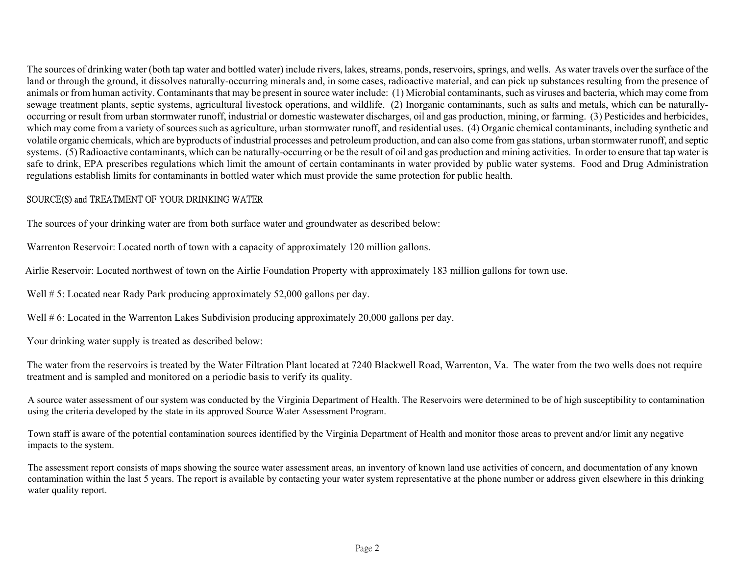The sources of drinking water (both tap water and bottled water) include rivers, lakes, streams, ponds, reservoirs, springs, and wells. As water travels over the surface of the land or through the ground, it dissolves naturally-occurring minerals and, in some cases, radioactive material, and can pick up substances resulting from the presence of animals or from human activity. Contaminants that may be present in source water include: (1) Microbial contaminants, such as viruses and bacteria, which may come from sewage treatment plants, septic systems, agricultural livestock operations, and wildlife. (2) Inorganic contaminants, such as salts and metals, which can be naturallyoccurring or result from urban stormwater runoff, industrial or domestic wastewater discharges, oil and gas production, mining, or farming. (3) Pesticides and herbicides, which may come from a variety of sources such as agriculture, urban stormwater runoff, and residential uses. (4) Organic chemical contaminants, including synthetic and volatile organic chemicals, which are byproducts of industrial processes and petroleum production, and can also come from gas stations, urban stormwater runoff, and septic systems. (5) Radioactive contaminants, which can be naturally-occurring or be the result of oil and gas production and mining activities. In order to ensure that tap water is safe to drink, EPA prescribes regulations which limit the amount of certain contaminants in water provided by public water systems. Food and Drug Administration regulations establish limits for contaminants in bottled water which must provide the same protection for public health.

# SOURCE(S) and TREATMENT OF YOUR DRINKING WATER

The sources of your drinking water are from both surface water and groundwater as described below:

Warrenton Reservoir: Located north of town with a capacity of approximately 120 million gallons.

Airlie Reservoir: Located northwest of town on the Airlie Foundation Property with approximately 183 million gallons for town use.

Well # 5: Located near Rady Park producing approximately 52,000 gallons per day.

Well # 6: Located in the Warrenton Lakes Subdivision producing approximately 20,000 gallons per day.

Your drinking water supply is treated as described below:

The water from the reservoirs is treated by the Water Filtration Plant located at 7240 Blackwell Road, Warrenton, Va. The water from the two wells does not require treatment and is sampled and monitored on a periodic basis to verify its quality.

A source water assessment of our system was conducted by the Virginia Department of Health. The Reservoirs were determined to be of high susceptibility to contamination using the criteria developed by the state in its approved Source Water Assessment Program.

Town staff is aware of the potential contamination sources identified by the Virginia Department of Health and monitor those areas to prevent and/or limit any negative impacts to the system.

The assessment report consists of maps showing the source water assessment areas, an inventory of known land use activities of concern, and documentation of any known contamination within the last 5 years. The report is available by contacting your water system representative at the phone number or address given elsewhere in this drinking water quality report.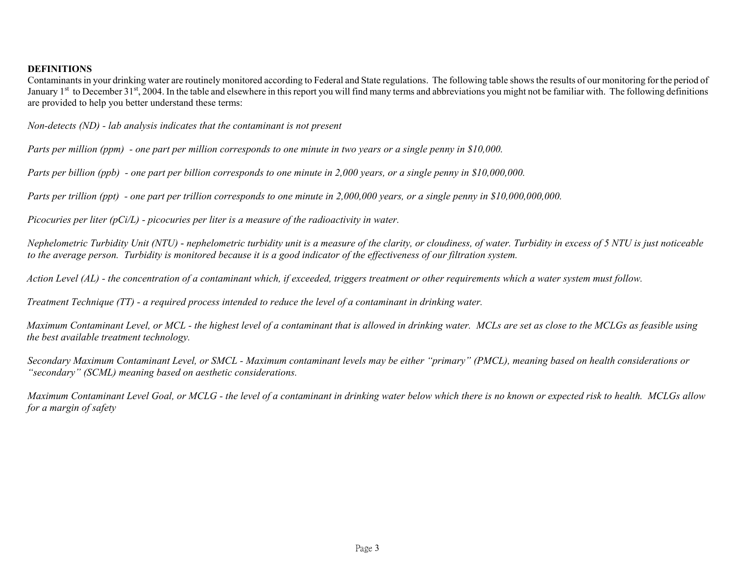#### **DEFINITIONS**

Contaminants in your drinking water are routinely monitored according to Federal and State regulations. The following table shows the results of our monitoring for the period of January  $1<sup>st</sup>$  to December  $31<sup>st</sup>$ , 2004. In the table and elsewhere in this report you will find many terms and abbreviations you might not be familiar with. The following definitions are provided to help you better understand these terms:

*Non-detects (ND) - lab analysis indicates that the contaminant is not present* 

*Parts per million (ppm) - one part per million corresponds to one minute in two years or a single penny in \$10,000.* 

*Parts per billion (ppb) - one part per billion corresponds to one minute in 2,000 years, or a single penny in \$10,000,000.* 

*Parts per trillion (ppt) - one part per trillion corresponds to one minute in 2,000,000 years, or a single penny in \$10,000,000,000.* 

*Picocuries per liter (pCi/L) - picocuries per liter is a measure of the radioactivity in water.* 

*Nephelometric Turbidity Unit (NTU)* - *nephelometric turbidity unit is a measure of the clarity, or cloudiness, of water. Turbidity in excess of 5 NTU is just noticeable to the average person. Turbidity is monitored because it is a good indicator of the effectiveness of our filtration system.* 

*Action Level (AL) - the concentration of a contaminant which, if exceeded, triggers treatment or other requirements which a water system must follow.* 

*Treatment Technique (TT) - a required process intended to reduce the level of a contaminant in drinking water.* 

*Maximum Contaminant Level, or MCL - the highest level of a contaminant that is allowed in drinking water. MCLs are set as close to the MCLGs as feasible using the best available treatment technology.* 

*Secondary Maximum Contaminant Level, or SMCL - Maximum contaminant levels may be either "primary" (PMCL), meaning based on health considerations or "secondary" (SCML) meaning based on aesthetic considerations.* 

*Maximum Contaminant Level Goal, or MCLG - the level of a contaminant in drinking water below which there is no known or expected risk to health. MCLGs allow for a margin of safety*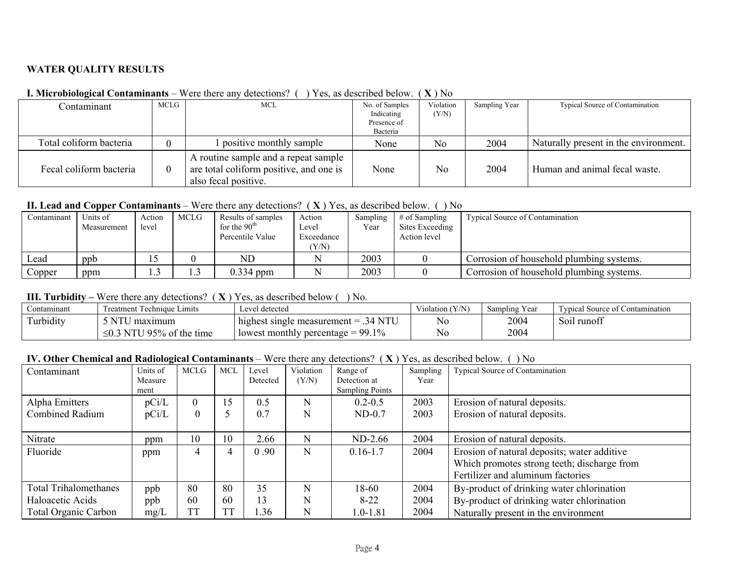## **WATER QUALITY RESULTS**

| Contaminant             | MCLG | MCL                                                                                                     | No. of Samples<br>Indicating<br>Presence of | Violation<br>(Y/N) | Sampling Year | Typical Source of Contamination       |
|-------------------------|------|---------------------------------------------------------------------------------------------------------|---------------------------------------------|--------------------|---------------|---------------------------------------|
| Total coliform bacteria |      | I positive monthly sample                                                                               | Bacteria<br>None                            | N <sub>o</sub>     | 2004          | Naturally present in the environment. |
|                         |      |                                                                                                         |                                             |                    |               |                                       |
| Fecal coliform bacteria |      | A routine sample and a repeat sample<br>are total coliform positive, and one is<br>also fecal positive. | None                                        | N <sub>o</sub>     | 2004          | Human and animal fecal waste.         |

## **I. Microbiological Contaminants** – Were there any detections? ( ) Yes, as described below. ( **X** ) No

## **II. Lead and Copper Contaminants** – Were there any detections? ( **X** ) Yes, as described below. ( ) No

| Contaminant | Units of<br>Measurement | Action<br>level | <b>MCLG</b> | Results of samples<br>for the $90th$<br>Percentile Value | Action<br>Level<br>Exceedance<br>(Y/N) | Sampling<br>Year | $\#$ of Sampling<br>Sites Exceeding<br>Action level | <b>Typical Source of Contamination</b>   |
|-------------|-------------------------|-----------------|-------------|----------------------------------------------------------|----------------------------------------|------------------|-----------------------------------------------------|------------------------------------------|
| ∟ead        | ppb                     |                 |             | ND                                                       |                                        | 2003             |                                                     | Corrosion of household plumbing systems. |
| Copper      | ppm                     |                 | ر. 1        | $0.334$ ppm                                              |                                        | 2003             |                                                     | Corrosion of household plumbing systems. |

#### **III. Turbidity –** Were there any detections? ( **X** ) Yes, as described below ( ) No.

| <i>⊇</i> ontamınant                    | reatment Technique Limits            | ∟evel detected                           | iolation (Y/N)<br>Sampling Year |      | Typic<br>Contamination<br>Source of C |
|----------------------------------------|--------------------------------------|------------------------------------------|---------------------------------|------|---------------------------------------|
| $\cdots$<br>$\mathbf{m}$<br>I urbidity | <b>NTI</b><br>maximum                | highest single measurement $=$<br>$\sim$ | N <sub>0</sub>                  | 2004 | runof<br><b>S011</b>                  |
|                                        | NTU<br>195%<br>of the<br>time<br>≥∪. | 99.1%<br>lowest monthly percentage       | N <sub>0</sub>                  | 2004 |                                       |

## **IV. Other Chemical and Radiological Contaminants** – Were there any detections? ( **X** ) Yes, as described below. ( ) No

| Contaminant                              | Units of<br>Measure<br>ment | <b>MCLG</b>          | <b>MCI</b> | Level<br>Detected | Violation<br>(Y/N) | Range of<br>Detection at<br><b>Sampling Points</b> | Sampling<br>Year | Typical Source of Contamination                                                                                                 |
|------------------------------------------|-----------------------------|----------------------|------------|-------------------|--------------------|----------------------------------------------------|------------------|---------------------------------------------------------------------------------------------------------------------------------|
| Alpha Emitters<br><b>Combined Radium</b> | pCi/L<br>pCi/L              | $\Omega$<br>$\theta$ | 15         | 0.5<br>0.7        | N<br>N             | $0.2 - 0.5$<br>$ND-0.7$                            | 2003<br>2003     | Erosion of natural deposits.<br>Erosion of natural deposits.                                                                    |
| Nitrate                                  | ppm                         | 10                   | 10         | 2.66              | N                  | $ND-2.66$                                          | 2004             | Erosion of natural deposits.                                                                                                    |
| Fluoride                                 | ppm                         | 4                    |            | 0.90              | N                  | $0.16 - 1.7$                                       | 2004             | Erosion of natural deposits; water additive<br>Which promotes strong teeth; discharge from<br>Fertilizer and aluminum factories |
| <b>Total Trihalomethanes</b>             | ppb                         | 80                   | 80         | 35                | N                  | 18-60                                              | 2004             | By-product of drinking water chlorination                                                                                       |
| Haloacetic Acids                         | ppb                         | 60                   | 60         | 13                | N                  | $8 - 22$                                           | 2004             | By-product of drinking water chlorination                                                                                       |
| <b>Total Organic Carbon</b>              | mg/L                        | TT                   | <b>TT</b>  | .36               | N                  | $1.0 - 1.81$                                       | 2004             | Naturally present in the environment                                                                                            |